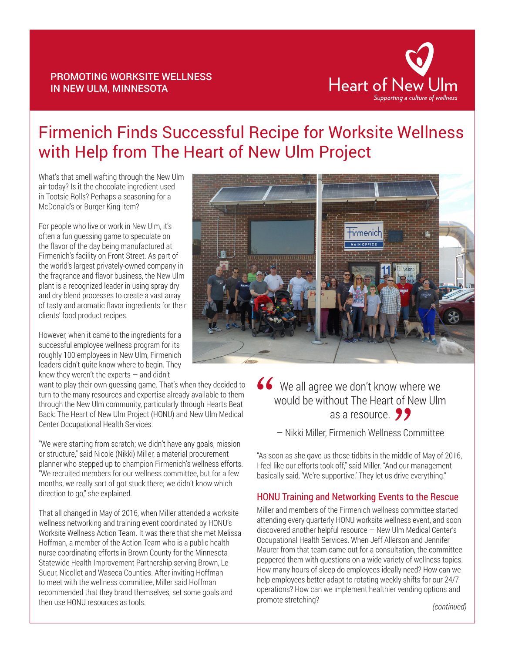#### PROMOTING WORKSITE WELLNESS IN NEW ULM, MINNESOTA



# Firmenich Finds Successful Recipe for Worksite Wellness with Help from The Heart of New Ulm Project

What's that smell wafting through the New Ulm air today? Is it the chocolate ingredient used in Tootsie Rolls? Perhaps a seasoning for a McDonald's or Burger King item?

For people who live or work in New Ulm, it's often a fun guessing game to speculate on the flavor of the day being manufactured at Firmenich's facility on Front Street. As part of the world's largest privately-owned company in the fragrance and flavor business, the New Ulm plant is a recognized leader in using spray dry and dry blend processes to create a vast array of tasty and aromatic flavor ingredients for their clients' food product recipes.

However, when it came to the ingredients for a successful employee wellness program for its roughly 100 employees in New Ulm, Firmenich leaders didn't quite know where to begin. They knew they weren't the experts  $-$  and didn't

want to play their own guessing game. That's when they decided to turn to the many resources and expertise already available to them through the New Ulm community, particularly through Hearts Beat Back: The Heart of New Ulm Project (HONU) and New Ulm Medical Center Occupational Health Services.

"We were starting from scratch; we didn't have any goals, mission or structure," said Nicole (Nikki) Miller, a material procurement planner who stepped up to champion Firmenich's wellness efforts. "We recruited members for our wellness committee, but for a few months, we really sort of got stuck there; we didn't know which direction to go," she explained.

That all changed in May of 2016, when Miller attended a worksite wellness networking and training event coordinated by HONU's Worksite Wellness Action Team. It was there that she met Melissa Hoffman, a member of the Action Team who is a public health nurse coordinating efforts in Brown County for the Minnesota Statewide Health Improvement Partnership serving Brown, Le Sueur, Nicollet and Waseca Counties. After inviting Hoffman to meet with the wellness committee, Miller said Hoffman recommended that they brand themselves, set some goals and then use HONU resources as tools.



# We all agree we don't know where we would be without The Heart of New Ulm as a resource.  $\frac{1}{\sqrt{\frac{2}{1}}\sqrt{\frac{2}{1}}}}$  $\frac{1}{\sqrt{2}}$ <br> $\frac{1}{\sqrt{2}}$ <br> $\frac{1}{\sqrt{2}}$

— Nikki Miller, Firmenich Wellness Committee

"As soon as she gave us those tidbits in the middle of May of 2016, I feel like our efforts took off," said Miller. "And our management basically said, 'We're supportive.' They let us drive everything."

# HONU Training and Networking Events to the Rescue

Miller and members of the Firmenich wellness committee started attending every quarterly HONU worksite wellness event, and soon discovered another helpful resource — New Ulm Medical Center's Occupational Health Services. When Jeff Allerson and Jennifer Maurer from that team came out for a consultation, the committee peppered them with questions on a wide variety of wellness topics. How many hours of sleep do employees ideally need? How can we help employees better adapt to rotating weekly shifts for our 24/7 operations? How can we implement healthier vending options and promote stretching?

*(continued)*